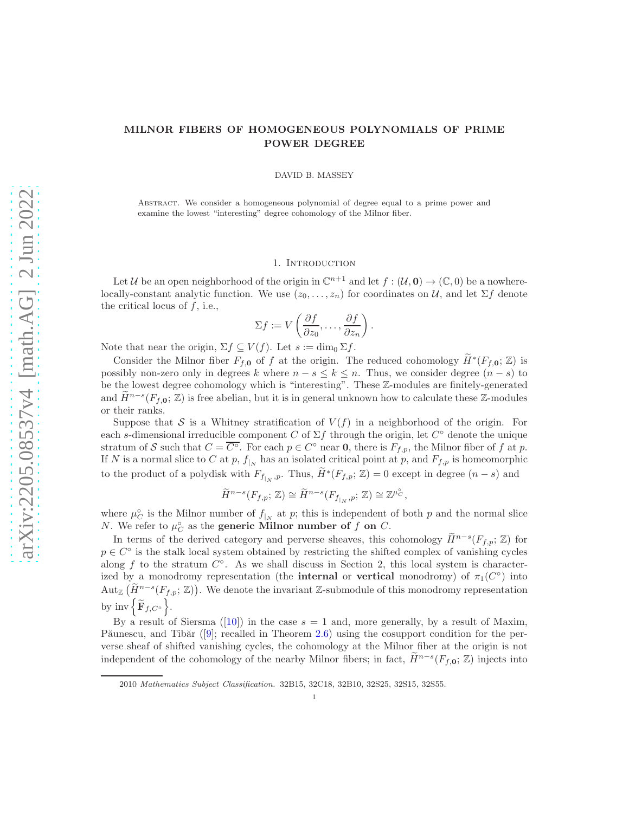# MILNOR FIBERS OF HOMOGENEOUS POLYNOMIALS OF PRIME POWER DEGREE

DAVID B. MASSEY

Abstract. We consider a homogeneous polynomial of degree equal to a prime power and examine the lowest "interesting" degree cohomology of the Milnor fiber.

### 1. INTRODUCTION

Let U be an open neighborhood of the origin in  $\mathbb{C}^{n+1}$  and let  $f : (\mathcal{U}, \mathbf{0}) \to (\mathbb{C}, 0)$  be a nowherelocally-constant analytic function. We use  $(z_0, \ldots, z_n)$  for coordinates on U, and let  $\Sigma f$  denote the critical locus of  $f$ , i.e.,

$$
\Sigma f := V\left(\frac{\partial f}{\partial z_0}, \dots, \frac{\partial f}{\partial z_n}\right).
$$

Note that near the origin,  $\Sigma f \subseteq V(f)$ . Let  $s := \dim_0 \Sigma f$ .

Consider the Milnor fiber  $F_{f,0}$  of f at the origin. The reduced cohomology  $\widetilde{H}^*(F_{f,0};\mathbb{Z})$  is possibly non-zero only in degrees k where  $n - s \le k \le n$ . Thus, we consider degree  $(n - s)$  to be the lowest degree cohomology which is "interesting". These Z-modules are finitely-generated and  $\widetilde{H}^{n-s}(F_{f,0};\mathbb{Z})$  is free abelian, but it is in general unknown how to calculate these  $\mathbb{Z}$ -modules or their ranks.

Suppose that S is a Whitney stratification of  $V(f)$  in a neighborhood of the origin. For each s-dimensional irreducible component C of  $\Sigma f$  through the origin, let  $C^{\circ}$  denote the unique stratum of S such that  $C = \overline{C}^\circ$ . For each  $p \in C^\circ$  near **0**, there is  $F_{f,p}$ , the Milnor fiber of f at p. If N is a normal slice to C at p,  $f_{|N}$  has an isolated critical point at p, and  $F_{f,p}$  is homeomorphic to the product of a polydisk with  $F_{f_{|N},p}$ . Thus,  $\widetilde{H}^*(F_{f,p};\mathbb{Z})=0$  except in degree  $(n-s)$  and

$$
\widetilde{H}^{n-s}(F_{f,p};\,\mathbb{Z})\cong \widetilde{H}^{n-s}(F_{f_{|_N},p};\,\mathbb{Z})\cong \mathbb{Z}^{\mu^{\circ}_{\mathcal{C}}},
$$

where  $\mu_C^{\circ}$  is the Milnor number of  $f_{|N}$  at p; this is independent of both p and the normal slice *N*. We refer to  $\mu_C^{\circ}$  as the **generic Milnor number of f on** C.

In terms of the derived category and perverse sheaves, this cohomology  $\widetilde{H}^{n-s}(F_{f,p};\mathbb{Z})$  for  $p \in C^{\circ}$  is the stalk local system obtained by restricting the shifted complex of vanishing cycles along  $f$  to the stratum  $C^{\circ}$ . As we shall discuss in Section 2, this local system is characterized by a monodromy representation (the **internal** or **vertical** monodromy) of  $\pi_1(C^{\circ})$  into Aut<sub>Z</sub>  $(\widetilde{H}^{n-s}(F_{f,p};\mathbb{Z}))$ . We denote the invariant Z-submodule of this monodromy representation by  $\text{inv }\Big\{ \widetilde{\mathbf{F}}_{f,C} \circ \Big\}$ .

By a result of Siersma ([\[10\]](#page-11-0)) in the case  $s = 1$  and, more generally, by a result of Maxim, Păunescu, and Tibăr ([\[9\]](#page-11-1); recalled in Theorem [2.6\)](#page-3-0) using the cosupport condition for the perverse sheaf of shifted vanishing cycles, the cohomology at the Milnor fiber at the origin is not independent of the cohomology of the nearby Milnor fibers; in fact,  $\widetilde{H}^{n-s}(F_{f,0};\mathbb{Z})$  injects into

<sup>2010</sup> Mathematics Subject Classification. 32B15, 32C18, 32B10, 32S25, 32S15, 32S55.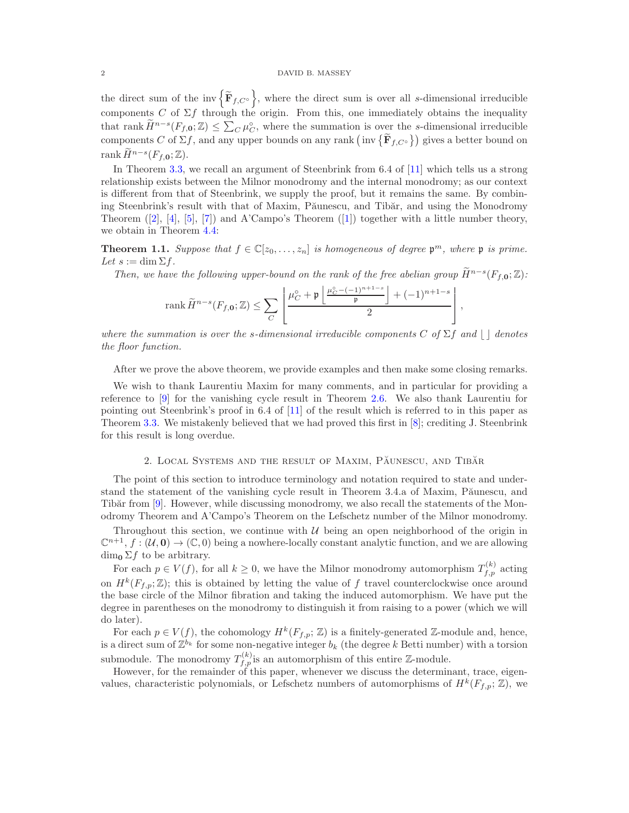the direct sum of the inv $\left\{ \widetilde{\mathbf{F}}_{f,C} \right\}$ , where the direct sum is over all s-dimensional irreducible components C of  $\Sigma f$  through the origin. From this, one immediately obtains the inequality that rank  $\widetilde{H}^{n-s}(F_{f,0};\mathbb{Z}) \leq \sum_{C} \mu_C^{\circ}$ , where the summation is over the s-dimensional irreducible components C of  $\Sigma f$ , and any upper bounds on any rank  $(\text{inv } \{ \tilde{\mathbf{F}}_{f,C} \} )$  gives a better bound on rank  $\widetilde{H}^{n-s}(F_{f,\mathbf{0}};\mathbb{Z}).$ 

In Theorem [3.3,](#page-4-0) we recall an argument of Steenbrink from 6.4 of [\[11\]](#page-11-2) which tells us a strong relationship exists between the Milnor monodromy and the internal monodromy; as our context is different from that of Steenbrink, we supply the proof, but it remains the same. By combining Steenbrink's result with that of Maxim, Păunescu, and Tibăr, and using the Monodromy Theorem  $([2], [4], [5], [7])$  $([2], [4], [5], [7])$  $([2], [4], [5], [7])$  $([2], [4], [5], [7])$  $([2], [4], [5], [7])$  $([2], [4], [5], [7])$  $([2], [4], [5], [7])$  $([2], [4], [5], [7])$  $([2], [4], [5], [7])$  and A'Campo's Theorem  $([1])$  $([1])$  $([1])$  together with a little number theory, we obtain in Theorem [4.4:](#page-9-0)

**Theorem 1.1.** *Suppose that*  $f \in \mathbb{C}[z_0, \ldots, z_n]$  *is homogeneous of degree*  $\mathfrak{p}^m$ *, where*  $\mathfrak{p}$  *is prime.*  $Let s := \dim \Sigma f.$ 

*Then, we have the following upper-bound on the rank of the free abelian group*  $\widetilde{H}^{n-s}(F_{f,0}; \mathbb{Z})$ :

$$
\operatorname{rank}\widetilde{H}^{n-s}(F_{f,\mathbf{0}};\mathbb{Z})\leq\sum_{C}\left[\frac{\mu_{C}^{\circ}+\mathfrak{p}\left\lfloor\frac{\mu_{C}^{\circ}-(-1)^{n+1-s}}{\mathfrak{p}}\right\rfloor+(-1)^{n+1-s}}{2}\right],
$$

*where the summation is over the s-dimensional irreducible components*  $C$  *of*  $\Sigma f$  *and*  $| \cdot |$  *denotes the floor function.*

After we prove the above theorem, we provide examples and then make some closing remarks.

We wish to thank Laurentiu Maxim for many comments, and in particular for providing a reference to [\[9\]](#page-11-1) for the vanishing cycle result in Theorem [2.6.](#page-3-0) We also thank Laurentiu for pointing out Steenbrink's proof in 6.4 of [\[11\]](#page-11-2) of the result which is referred to in this paper as Theorem [3.3.](#page-4-0) We mistakenly believed that we had proved this first in [\[8\]](#page-11-8); crediting J. Steenbrink for this result is long overdue.

### 2. LOCAL SYSTEMS AND THE RESULT OF MAXIM, PAUNESCU, AND TIBAR

The point of this section to introduce terminology and notation required to state and understand the statement of the vanishing cycle result in Theorem 3.4.a of Maxim, Păunescu, and Tibăr from  $[9]$ . However, while discussing monodromy, we also recall the statements of the Monodromy Theorem and A'Campo's Theorem on the Lefschetz number of the Milnor monodromy.

Throughout this section, we continue with  $U$  being an open neighborhood of the origin in  $\mathbb{C}^{n+1}, f : (\mathcal{U}, \mathbf{0}) \to (\mathbb{C}, 0)$  being a nowhere-locally constant analytic function, and we are allowing  $\dim_{\mathbf{Q}} \Sigma f$  to be arbitrary.

For each  $p \in V(f)$ , for all  $k \geq 0$ , we have the Milnor monodromy automorphism  $T_{f,p}^{(k)}$  acting on  $H^k(F_{f,p};\mathbb{Z})$ ; this is obtained by letting the value of f travel counterclockwise once around the base circle of the Milnor fibration and taking the induced automorphism. We have put the degree in parentheses on the monodromy to distinguish it from raising to a power (which we will do later).

For each  $p \in V(f)$ , the cohomology  $H^k(F_{f,p}; \mathbb{Z})$  is a finitely-generated  $\mathbb{Z}$ -module and, hence, is a direct sum of  $\mathbb{Z}^{b_k}$  for some non-negative integer  $b_k$  (the degree k Betti number) with a torsion submodule. The monodromy  $T_{f,p}^{(k)}$  is an automorphism of this entire Z-module.

However, for the remainder of this paper, whenever we discuss the determinant, trace, eigenvalues, characteristic polynomials, or Lefschetz numbers of automorphisms of  $H^k(F_{f,p}; \mathbb{Z})$ , we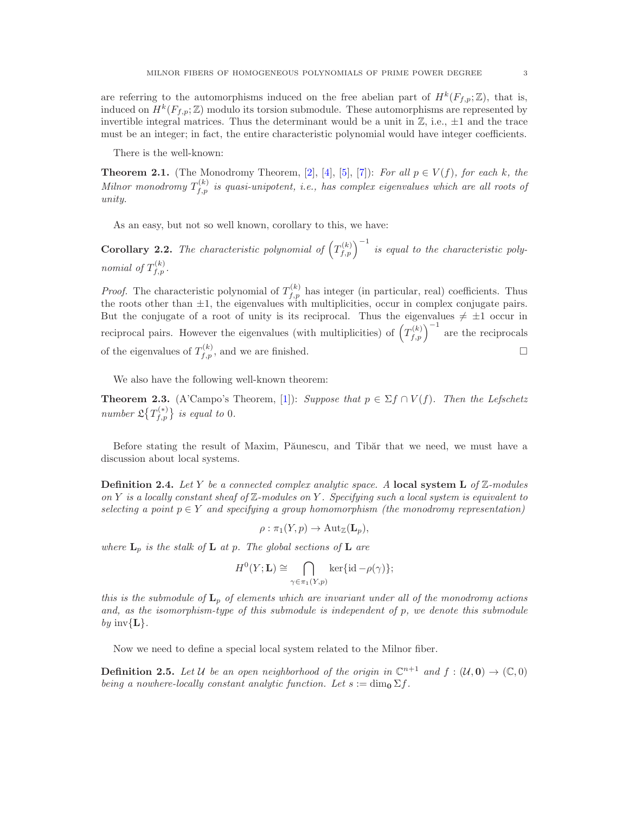are referring to the automorphisms induced on the free abelian part of  $H^k(F_{f,p};\mathbb{Z})$ , that is, induced on  $H^k(F_{f,p};\mathbb{Z})$  modulo its torsion submodule. These automorphisms are represented by invertible integral matrices. Thus the determinant would be a unit in  $\mathbb{Z}$ , i.e.,  $\pm 1$  and the trace must be an integer; in fact, the entire characteristic polynomial would have integer coefficients.

There is the well-known:

**Theorem 2.1.** (The Monodromy Theorem, [\[2\]](#page-11-3), [\[4\]](#page-11-4), [\[5\]](#page-11-5), [\[7\]](#page-11-6)): *For all*  $p \in V(f)$ *, for each k, the*  $Milnor monodromy T<sub>f,p</sub><sup>(k)</sup>$  *is quasi-unipotent, i.e., has complex eigenvalues which are all roots of unity.*

As an easy, but not so well known, corollary to this, we have:

<span id="page-2-1"></span>**Corollary 2.2.** The characteristic polynomial of  $(T_{f,p}^{(k)})^{-1}$  is equal to the characteristic poly*nomial of*  $T_{f,p}^{(k)}$ .

*Proof.* The characteristic polynomial of  $T_{f,p}^{(k)}$  has integer (in particular, real) coefficients. Thus the roots other than  $\pm 1$ , the eigenvalues with multiplicities, occur in complex conjugate pairs. But the conjugate of a root of unity is its reciprocal. Thus the eigenvalues  $\neq \pm 1$  occur in reciprocal pairs. However the eigenvalues (with multiplicities) of  $(T_{f,p}^{(k)})^{-1}$  are the reciprocals of the eigenvalues of  $T_{f,p}^{(k)}$ , and we are finished.

We also have the following well-known theorem:

<span id="page-2-0"></span>**Theorem 2.3.** (A'Campo's Theorem, [\[1\]](#page-11-7)): *Suppose that*  $p \in \Sigma f \cap V(f)$ *. Then the Lefschetz number*  $\mathfrak{L}\left\{T_{f,p}^{(*)}\right\}$  *is equal to* 0*.* 

Before stating the result of Maxim, Păunescu, and Tibăr that we need, we must have a discussion about local systems.

Definition 2.4. *Let* Y *be a connected complex analytic space. A* local system L *of* Z*-modules on* Y *is a locally constant sheaf of* Z*-modules on* Y *. Specifying such a local system is equivalent to selecting a point*  $p \in Y$  *and specifying a group homomorphism (the monodromy representation)* 

$$
\rho : \pi_1(Y, p) \to \mathrm{Aut}_{\mathbb{Z}}(\mathbf{L}_p),
$$

*where*  $L_p$  *is the stalk of*  $L$  *at*  $p$ *. The global sections of*  $L$  *are* 

$$
H^{0}(Y; \mathbf{L}) \cong \bigcap_{\gamma \in \pi_{1}(Y, p)} \ker \{id - \rho(\gamma)\};
$$

*this is the submodule of* L<sup>p</sup> *of elements which are invariant under all of the monodromy actions and, as the isomorphism-type of this submodule is independent of* p*, we denote this submodule*  $by$  inv ${L}$ .

Now we need to define a special local system related to the Milnor fiber.

**Definition 2.5.** Let U be an open neighborhood of the origin in  $\mathbb{C}^{n+1}$  and  $f : (\mathcal{U}, \mathbf{0}) \to (\mathbb{C}, 0)$ *being a nowhere-locally constant analytic function. Let*  $s := \dim_0 \Sigma f$ .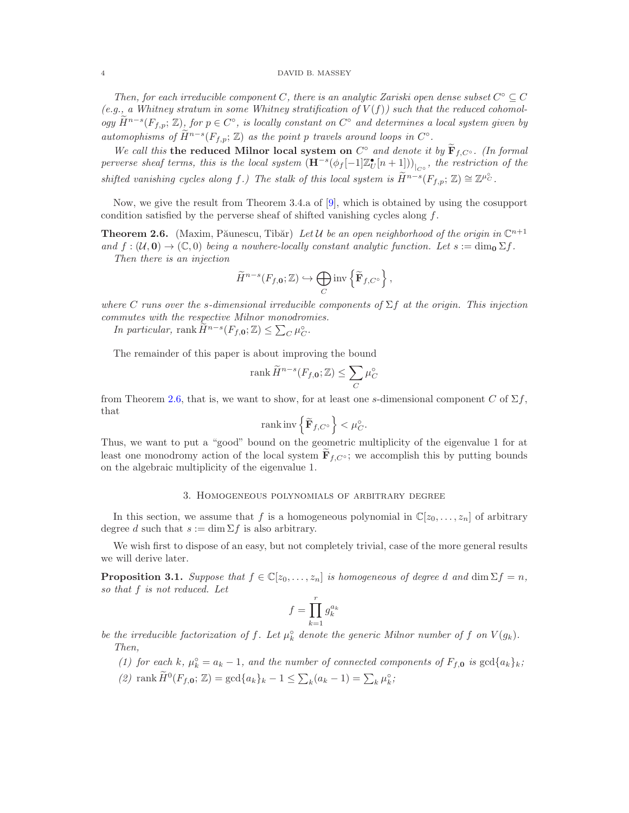### 4 DAVID B. MASSEY

*Then, for each irreducible component* C, there is an analytic Zariski open dense subset  $C^{\circ} \subseteq C$  $(e.g., a Whitney stratum in some Whitney stratification of  $V(f)$ ) such that the reduced cohomol$ *ogy*  $\widetilde{H}^{n-s}(F_{f,p}; \mathbb{Z})$ , for  $p \in C^{\circ}$ , is locally constant on  $C^{\circ}$  and determines a local system given by *automophisms of*  $\widetilde{H}^{n-s}(F_{f,p}; \mathbb{Z})$  *as the point* p *travels around loops in*  $C^{\circ}$ .

*We call this* the reduced Milnor local system on  $C^{\circ}$  *and denote it by*  $\mathbf{F}_{f,C^{\circ}}$ *. (In formal*  $perverse\,\,sheaf\,\,terms,\,\,this\,\,is\,\,the\,\,local\,\,system\,\left(\mathbf{H}^{-s}(\phi_f[-1]\mathbb{Z}_U^\bullet[n+1])\right)_{|_{C^\circ}},\,\,the\,\,restriction\,\,of\,\,the\,\,equation$ *shifted vanishing cycles along*  $f$ *.)* The stalk of this local system is  $\widetilde{H}^{n-s}(F_{f,p}; \mathbb{Z}) \cong \mathbb{Z}^{\mu_C^{\circ}}$ .

Now, we give the result from Theorem 3.4.a of [\[9\]](#page-11-1), which is obtained by using the cosupport condition satisfied by the perverse sheaf of shifted vanishing cycles along f.

<span id="page-3-0"></span>**Theorem 2.6.** (Maxim, Păunescu, Tibăr) Let U be an open neighborhood of the origin in  $\mathbb{C}^{n+1}$ *and*  $f : (\mathcal{U}, \mathbf{0}) \to (\mathbb{C}, 0)$  *being a nowhere-locally constant analytic function. Let*  $s := \dim_{\mathbf{0}} \Sigma f$ . *Then there is an injection*

$$
\widetilde{H}^{n-s}(F_{f,\mathbf{0}};\mathbb{Z})\hookrightarrow \bigoplus_{C}\text{inv}\left\{\widetilde{\mathbf{F}}_{f,C^{\circ}}\right\},\,
$$

*where* C *runs over the* s*-dimensional irreducible components of* Σf *at the origin. This injection commutes with the respective Milnor monodromies.*

*In particular,* rank  $\widetilde{H}^{n-s}(F_{f,0}; \mathbb{Z}) \leq \sum_{C} \mu_C^{\circ}$ .

The remainder of this paper is about improving the bound

$$
\operatorname{rank} \widetilde{H}^{n-s}(F_{f,0}; \mathbb{Z}) \le \sum_{C} \mu_C^{\circ}
$$

from Theorem [2.6,](#page-3-0) that is, we want to show, for at least one s-dimensional component C of  $\Sigma f$ , that

$$
\operatorname{rank} \operatorname{inv} \left\{ \widetilde{\mathbf{F}}_{f,C^{\diamond}} \right\} < \mu_{C}^{\diamond}.
$$

Thus, we want to put a "good" bound on the geometric multiplicity of the eigenvalue 1 for at least one monodromy action of the local system  $\mathbf{F}_{f,C} \cdot$ ; we accomplish this by putting bounds on the algebraic multiplicity of the eigenvalue 1.

## 3. Homogeneous polynomials of arbitrary degree

In this section, we assume that f is a homogeneous polynomial in  $\mathbb{C}[z_0, \ldots, z_n]$  of arbitrary degree d such that  $s := \dim \Sigma f$  is also arbitrary.

We wish first to dispose of an easy, but not completely trivial, case of the more general results we will derive later.

<span id="page-3-1"></span>**Proposition 3.1.** *Suppose that*  $f \in \mathbb{C}[z_0, \ldots, z_n]$  *is homogeneous of degree d and* dim  $\Sigma f = n$ *, so that* f *is not reduced. Let*

$$
f = \prod_{k=1}^r g_k^{a_k}
$$

be the irreducible factorization of f. Let  $\mu_k^{\circ}$  denote the generic Milnor number of f on  $V(g_k)$ . *Then,*

- (1) for each k,  $\mu_k^{\circ} = a_k 1$ , and the number of connected components of  $F_{f,0}$  is  $gcd\{a_k\}_k$ ;
- (2) rank  $\widetilde{H}^0(F_{f,0}; \mathbb{Z}) = \gcd\{a_k\}_k 1 \leq \sum_k (a_k 1) = \sum_k \mu_k^{\circ}$ ;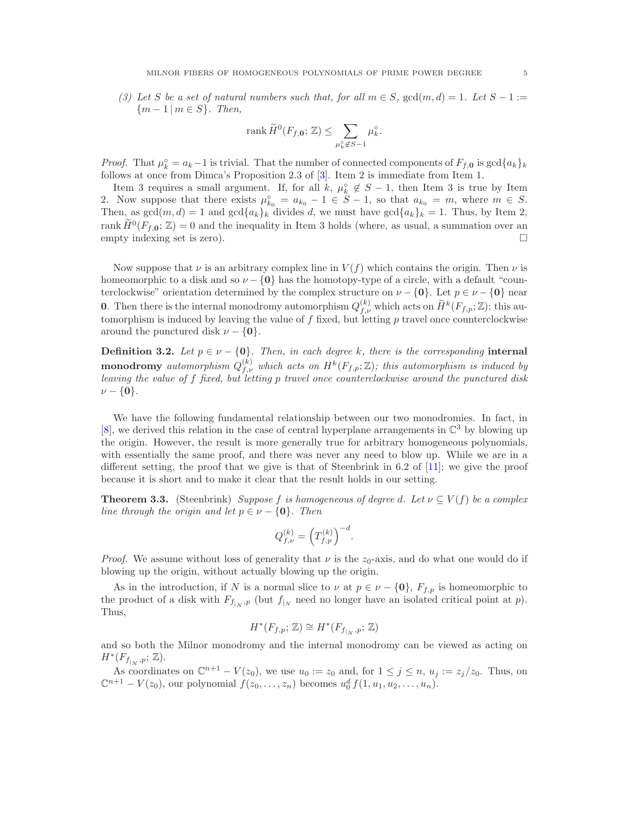(3) Let S be a set of natural numbers such that, for all  $m \in S$ ,  $gcd(m, d) = 1$ . Let  $S - 1 :=$ {m − 1 | m ∈ S}*. Then,*

$$
\operatorname{rank} \widetilde{H}^0(F_{f,{\bf 0}};\, {\mathbb Z})\leq \sum_{\mu_k^\circ\not\in S-1} \mu_k^\circ.
$$

*Proof.* That  $\mu_k^{\circ} = a_k - 1$  is trivial. That the number of connected components of  $F_{f,0}$  is  $\gcd\{a_k\}_k$ follows at once from Dimca's Proposition 2.3 of [\[3\]](#page-11-9). Item 2 is immediate from Item 1.

Item 3 requires a small argument. If, for all k,  $\mu_k^{\circ} \notin S - 1$ , then Item 3 is true by Item 2. Now suppose that there exists  $\mu_{k_0}^{\circ} = a_{k_0} - 1 \in S - 1$ , so that  $a_{k_0} = m$ , where  $m \in S$ . Then, as  $gcd(m, d) = 1$  and  $gcd{a_k}_k$  divides d, we must have  $gcd{a_k}_k = 1$ . Thus, by Item 2, rank  $\widetilde{H}^0(F_{f,0};\mathbb{Z})=0$  and the inequality in Item 3 holds (where, as usual, a summation over an empty indexing set is zero).  $\Box$ 

Now suppose that  $\nu$  is an arbitrary complex line in  $V(f)$  which contains the origin. Then  $\nu$  is homeomorphic to a disk and so  $\nu - \{0\}$  has the homotopy-type of a circle, with a default "counterclockwise" orientation determined by the complex structure on  $\nu - \{0\}$ . Let  $p \in \nu - \{0\}$  near **0**. Then there is the internal monodromy automorphism  $Q_{f,\nu}^{(k)}$  which acts on  $\widetilde{H}^k(F_{f,p}; \mathbb{Z})$ ; this automorphism is induced by leaving the value of  $f$  fixed, but letting  $p$  travel once counterclockwise around the punctured disk  $\nu - \{0\}$ .

**Definition 3.2.** Let  $p \in \nu - \{0\}$ . Then, in each degree k, there is the corresponding internal  $\textbf{monodromy}$  automorphism  $Q_{f,\nu}^{(k)}$  which acts on  $H^k(F_{f,p};\mathbb{Z})$ ; this automorphism is induced by *leaving the value of* f *fixed, but letting* p *travel once counterclockwise around the punctured disk*  $\nu - \{0\}.$ 

We have the following fundamental relationship between our two monodromies. In fact, in [\[8\]](#page-11-8), we derived this relation in the case of central hyperplane arrangements in  $\mathbb{C}^3$  by blowing up the origin. However, the result is more generally true for arbitrary homogeneous polynomials, with essentially the same proof, and there was never any need to blow up. While we are in a different setting, the proof that we give is that of Steenbrink in 6.2 of [\[11\]](#page-11-2); we give the proof because it is short and to make it clear that the result holds in our setting.

<span id="page-4-0"></span>**Theorem 3.3.** (Steenbrink) *Suppose* f *is homogeneous of degree d. Let*  $\nu \subseteq V(f)$  *be a complex line through the origin and let*  $p \in \nu - \{0\}$ *. Then* 

$$
Q_{f,\nu}^{(k)} = \left(T_{f,p}^{(k)}\right)^{-d}.
$$

*Proof.* We assume without loss of generality that  $\nu$  is the  $z_0$ -axis, and do what one would do if blowing up the origin, without actually blowing up the origin.

As in the introduction, if N is a normal slice to  $\nu$  at  $p \in \nu - \{0\}$ ,  $F_{f,p}$  is homeomorphic to the product of a disk with  $F_{f|_N},_p$  (but  $f|_N$  need no longer have an isolated critical point at p). Thus,

$$
H^*(F_{f,p};\mathbb{Z}) \cong H^*(F_{f|_N},p;\mathbb{Z})
$$

and so both the Milnor monodromy and the internal monodromy can be viewed as acting on  $H^*(F_{f_{|_N},p};\mathbb{Z}).$ 

As coordinates on  $\mathbb{C}^{n+1} - V(z_0)$ , we use  $u_0 := z_0$  and, for  $1 \leq j \leq n$ ,  $u_j := z_j/z_0$ . Thus, on  $\mathbb{C}^{n+1} - V(z_0)$ , our polynomial  $f(z_0, ..., z_n)$  becomes  $u_0^d f(1, u_1, u_2, ..., u_n)$ .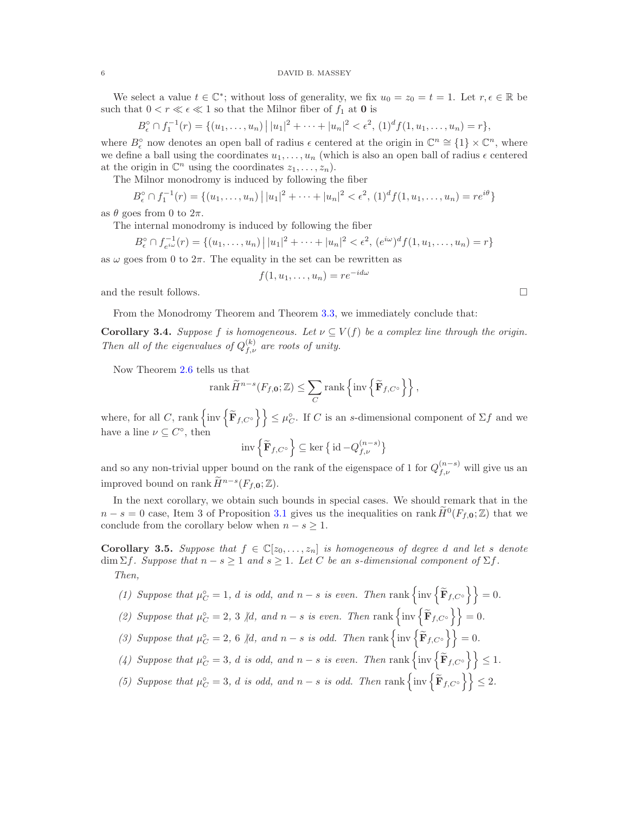We select a value  $t \in \mathbb{C}^*$ ; without loss of generality, we fix  $u_0 = z_0 = t = 1$ . Let  $r, \epsilon \in \mathbb{R}$  be such that  $0 < r \ll \epsilon \ll 1$  so that the Milnor fiber of  $f_1$  at  ${\bf 0}$  is

$$
B_{\epsilon}^{\circ} \cap f_1^{-1}(r) = \{ (u_1, \ldots, u_n) \mid |u_1|^2 + \cdots + |u_n|^2 < \epsilon^2, (1)^d f(1, u_1, \ldots, u_n) = r \},
$$

where  $B_{\epsilon}^{\circ}$  now denotes an open ball of radius  $\epsilon$  centered at the origin in  $\mathbb{C}^{n} \cong \{1\} \times \mathbb{C}^{n}$ , where we define a ball using the coordinates  $u_1, \ldots, u_n$  (which is also an open ball of radius  $\epsilon$  centered at the origin in  $\mathbb{C}^n$  using the coordinates  $z_1, \ldots, z_n$ ).

The Milnor monodromy is induced by following the fiber

$$
B_{\epsilon}^{\circ} \cap f_1^{-1}(r) = \{ (u_1, \dots, u_n) \mid |u_1|^2 + \dots + |u_n|^2 < \epsilon^2, (1)^d f(1, u_1, \dots, u_n) = r e^{i\theta} \}
$$

as  $\theta$  goes from 0 to  $2\pi$ .

The internal monodromy is induced by following the fiber

$$
B_{\epsilon}^{\circ} \cap f_{e^{i\omega}}^{-1}(r) = \{(u_1, \dots, u_n) \mid |u_1|^2 + \dots + |u_n|^2 < \epsilon^2, (e^{i\omega})^d f(1, u_1, \dots, u_n) = r\}
$$

as  $\omega$  goes from 0 to  $2\pi$ . The equality in the set can be rewritten as

$$
f(1, u_1, \dots, u_n) = re^{-id\omega}
$$

and the result follows.  $\Box$ 

From the Monodromy Theorem and Theorem [3.3,](#page-4-0) we immediately conclude that:

<span id="page-5-1"></span>**Corollary 3.4.** *Suppose* f *is homogeneous. Let*  $\nu \subseteq V(f)$  *be a complex line through the origin. Then all of the eigenvalues of*  $Q_{f,\nu}^{(k)}$  *are roots of unity.* 

Now Theorem [2.6](#page-3-0) tells us that

$$
\operatorname{rank} \widetilde{H}^{n-s}(F_{f,0};\mathbb{Z}) \leq \sum_{C} \operatorname{rank} \left\{ \operatorname{inv} \left\{ \widetilde{\mathbf{F}}_{f,C^{\circ}} \right\} \right\},\,
$$

where, for all C, rank  $\{inv \{\widetilde{\mathbf{F}}_{f,C} \circ\} \} \leq \mu_C^{\circ}$ . If C is an s-dimensional component of  $\Sigma f$  and we have a line  $\nu \subseteq C^{\circ}$ , then

$$
\mathrm{inv}\left\{\widetilde{\mathbf{F}}_{f,C^{\mathrm{o}}}\right\} \subseteq \ker\big\{\,\mathrm{id}\,{-}Q_{f,\nu}^{(n-s)}\big\}
$$

and so any non-trivial upper bound on the rank of the eigenspace of 1 for  $Q_{f,\nu}^{(n-s)}$  will give us an improved bound on rank  $\widetilde{H}^{n-s}(F_{f,0};\mathbb{Z}).$ 

In the next corollary, we obtain such bounds in special cases. We should remark that in the  $n-s=0$  case, Item 3 of Proposition [3.1](#page-3-1) gives us the inequalities on rank  $\widetilde{H}^0(F_{f,0};\mathbb{Z})$  that we conclude from the corollary below when  $n - s \geq 1$ .

<span id="page-5-0"></span>**Corollary 3.5.** *Suppose that*  $f \in \mathbb{C}[z_0, \ldots, z_n]$  *is homogeneous of degree d and let s denote*  $\dim \Sigma f$ *. Suppose that*  $n - s \geq 1$  *and*  $s \geq 1$ *. Let* C *be an s-dimensional component of*  $\Sigma f$ *. Then,*

- (1) Suppose that  $\mu_C^{\circ} = 1$ , d is odd, and  $n s$  is even. Then rank  $\left\{ \text{inv} \left\{ \widetilde{\mathbf{F}}_{f,C^{\circ}} \right\} \right\} = 0$ . (2) Suppose that  $\mu_C^{\circ} = 2$ , 3 |d, and  $n - s$  *is even. Then* rank  $\left\{ \text{inv} \left\{ \widetilde{\mathbf{F}}_{f,C^{\circ}} \right\} \right\} = 0$ .
- (3) Suppose that  $\mu_C^{\circ} = 2$ , 6 |d, and  $n s$  *is odd.* Then rank  $\left\{ \text{inv} \left\{ \widetilde{\mathbf{F}}_{f,C^{\circ}} \right\} \right\} = 0$ .
- (4) Suppose that  $\mu_C^{\circ} = 3$ , d is odd, and  $n s$  is even. Then rank  $\left\{ \text{inv} \left\{ \widetilde{\mathbf{F}}_{f,C^{\circ}} \right\} \right\} \leq 1$ .
- (5) Suppose that  $\mu_C^{\circ} = 3$ , *d is odd, and*  $n s$  *is odd. Then* rank  $\left\{ \text{inv} \left\{ \widetilde{\mathbf{F}}_{f,C^{\circ}} \right\} \right\} \leq 2$ .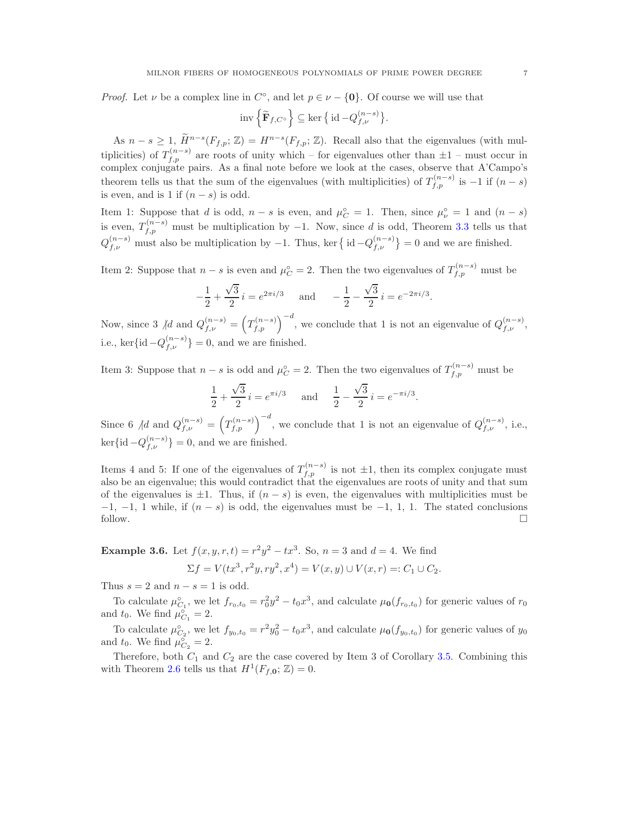*Proof.* Let  $\nu$  be a complex line in  $C^{\circ}$ , and let  $p \in \nu - \{0\}$ . Of course we will use that

$$
\mathrm{inv}\left\{\widetilde{\mathbf{F}}_{f,C^{\mathrm{o}}}\right\} \subseteq \ker\big\{\,\mathrm{id}\,{-}Q_{f,\nu}^{(n-s)}\big\}.
$$

As  $n-s\geq 1$ ,  $\widetilde{H}^{n-s}(F_{f,p};\mathbb{Z})=H^{n-s}(F_{f,p};\mathbb{Z})$ . Recall also that the eigenvalues (with multiplicities) of  $T_{f,p}^{(n-s)}$  are roots of unity which – for eigenvalues other than  $\pm 1$  – must occur in complex conjugate pairs. As a final note before we look at the cases, observe that A'Campo's theorem tells us that the sum of the eigenvalues (with multiplicities) of  $T_{f,p}^{(n-s)}$  is  $-1$  if  $(n-s)$ is even, and is 1 if  $(n - s)$  is odd.

Item 1: Suppose that d is odd,  $n - s$  is even, and  $\mu_C^{\circ} = 1$ . Then, since  $\mu_{\nu}^{\circ} = 1$  and  $(n - s)$ is even,  $T_{f,p}^{(n-s)}$  must be multiplication by -1. Now, since d is odd, Theorem [3.3](#page-4-0) tells us that  $Q_{f,\nu}^{(n-s)}$  must also be multiplication by -1. Thus, ker  $\{\mathrm{id}-Q_{f,\nu}^{(n-s)}\}=0$  and we are finished.

Item 2: Suppose that  $n - s$  is even and  $\mu_C^{\circ} = 2$ . Then the two eigenvalues of  $T_{f,p}^{(n-s)}$  must be

$$
-\frac{1}{2} + \frac{\sqrt{3}}{2} i = e^{2\pi i/3} \quad \text{and} \quad -\frac{1}{2} - \frac{\sqrt{3}}{2} i = e^{-2\pi i/3}.
$$

Now, since 3  $\text{ad}$  and  $Q_{f,\nu}^{(n-s)} = \left(T_{f,p}^{(n-s)}\right)^{-d}$ , we conclude that 1 is not an eigenvalue of  $Q_{f,\nu}^{(n-s)}$ , i.e., ker $\{\mathrm{id} - Q_{f,\nu}^{(n-s)}\} = 0$ , and we are finished.

Item 3: Suppose that  $n - s$  is odd and  $\mu_C^{\circ} = 2$ . Then the two eigenvalues of  $T_{f,p}^{(n-s)}$  must be

$$
\frac{1}{2} + \frac{\sqrt{3}}{2} i = e^{\pi i/3} \quad \text{and} \quad \frac{1}{2} - \frac{\sqrt{3}}{2} i = e^{-\pi i/3}.
$$

Since 6  $\big/d$  and  $Q_{f,\nu}^{(n-s)} = \left(T_{f,p}^{(n-s)}\right)^{-d}$ , we conclude that 1 is not an eigenvalue of  $Q_{f,\nu}^{(n-s)}$ , i.e.,  $\ker{\{\mathrm{id} - Q_{f,\nu}^{(n-s)}\}} = 0$ , and we are finished.

Items 4 and 5: If one of the eigenvalues of  $T^{(n-s)}_{f,p}$  is not  $\pm 1$ , then its complex conjugate must also be an eigenvalue; this would contradict that the eigenvalues are roots of unity and that sum of the eigenvalues is  $\pm 1$ . Thus, if  $(n - s)$  is even, the eigenvalues with multiplicities must be  $-1$ ,  $-1$ ,  $1$  while, if  $(n - s)$  is odd, the eigenvalues must be  $-1$ ,  $1$ ,  $1$ . The stated conclusions follow. follow.  $\Box$ 

**Example 3.6.** Let  $f(x, y, r, t) = r^2y^2 - tx^3$ . So,  $n = 3$  and  $d = 4$ . We find

$$
\Sigma f = V(tx^3, r^2y, ry^2, x^4) = V(x, y) \cup V(x, r) =: C_1 \cup C_2.
$$

Thus  $s = 2$  and  $n - s = 1$  is odd.

To calculate  $\mu_{C_1}^{\circ}$ , we let  $f_{r_0,t_0} = r_0^2 y^2 - t_0 x^3$ , and calculate  $\mu_0(f_{r_0,t_0})$  for generic values of  $r_0$ and  $t_0$ . We find  $\mu_{C_1}^{\circ} = 2$ .

To calculate  $\mu_{C_2}^{\circ}$ , we let  $f_{y_0,t_0} = r^2 y_0^2 - t_0 x^3$ , and calculate  $\mu_0(f_{y_0,t_0})$  for generic values of  $y_0$ and  $t_0$ . We find  $\mu_{C_2}^{\circ} = 2$ .

Therefore, both  $C_1$  and  $C_2$  are the case covered by Item 3 of Corollary [3.5.](#page-5-0) Combining this with Theorem [2.6](#page-3-0) tells us that  $H^1(F_{f,0}; \mathbb{Z}) = 0$ .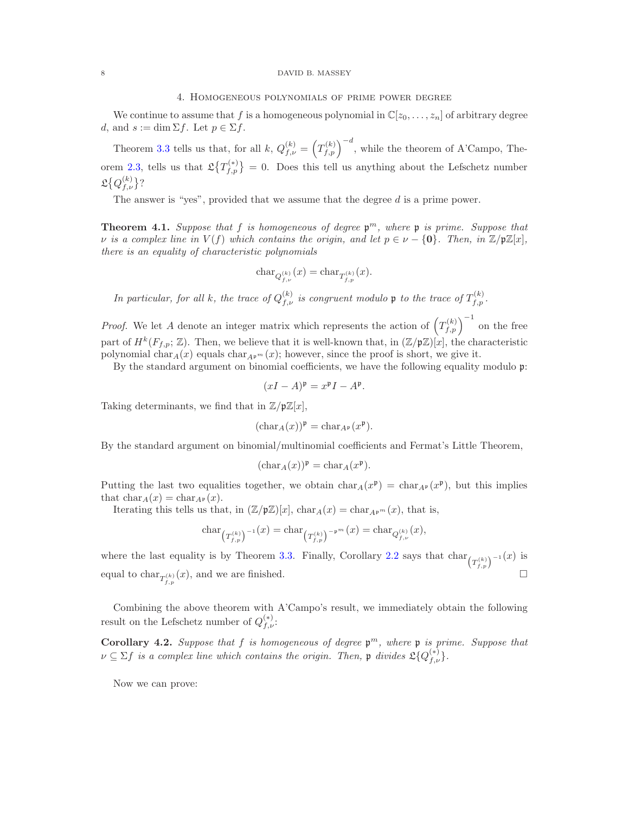#### 8 DAVID B. MASSEY

### 4. Homogeneous polynomials of prime power degree

We continue to assume that f is a homogeneous polynomial in  $\mathbb{C}[z_0, \ldots, z_n]$  of arbitrary degree d, and  $s := \dim \Sigma f$ . Let  $p \in \Sigma f$ .

Theorem [3.3](#page-4-0) tells us that, for all k,  $Q_{f,\nu}^{(k)} = \left(T_{f,p}^{(k)}\right)^{-d}$ , while the theorem of A'Campo, The-orem [2.3,](#page-2-0) tells us that  $\mathfrak{L}\left\{T_{f,p}^{(*)}\right\} = 0$ . Does this tell us anything about the Lefschetz number  $\mathfrak{L}\big\{Q^{(k)}_{f,\nu}\big\}$ ?

The answer is "yes", provided that we assume that the degree d is a prime power.

<span id="page-7-0"></span>**Theorem 4.1.** Suppose that  $f$  is homogeneous of degree  $\mathfrak{p}^m$ , where  $\mathfrak{p}$  is prime. Suppose that  $\nu$  *is a complex line in*  $V(f)$  *which contains the origin, and let*  $p \in \nu - \{0\}$ *. Then, in*  $\mathbb{Z}/p\mathbb{Z}[x]$ *, there is an equality of characteristic polynomials*

$$
char_{Q_{f,\nu}^{(k)}}(x) = char_{T_{f,p}^{(k)}}(x).
$$

*In particular, for all k, the trace of*  $Q_{f,\nu}^{(k)}$  *is congruent modulo* **p** *to the trace of*  $T_{f,p}^{(k)}$ *.* 

*Proof.* We let A denote an integer matrix which represents the action of  $(T_{f,p}^{(k)})^{-1}$  on the free part of  $H^k(F_{f,p};\mathbb{Z})$ . Then, we believe that it is well-known that, in  $(\mathbb{Z}/p\mathbb{Z})[x]$ , the characteristic polynomial char $_A(x)$  equals char<sub>Ap</sub><sup>m</sup> (x); however, since the proof is short, we give it.

By the standard argument on binomial coefficients, we have the following equality modulo  $\mathfrak{p}$ :

$$
(xI - A)^{\mathfrak{p}} = x^{\mathfrak{p}}I - A^{\mathfrak{p}}.
$$

Taking determinants, we find that in  $\mathbb{Z}/p\mathbb{Z}[x]$ ,

$$
(\operatorname{char}_A(x))^{\mathfrak{p}} = \operatorname{char}_{A^{\mathfrak{p}}}(x^{\mathfrak{p}}).
$$

By the standard argument on binomial/multinomial coefficients and Fermat's Little Theorem,

$$
(\text{char}_A(x))^{\mathfrak{p}} = \text{char}_A(x^{\mathfrak{p}}).
$$

Putting the last two equalities together, we obtain  $char_A(x^{\mathfrak{p}}) = char_{A^{\mathfrak{p}}}(x^{\mathfrak{p}})$ , but this implies that  $char_A(x) = char_{A^p}(x)$ .

Iterating this tells us that, in  $(\mathbb{Z}/p\mathbb{Z})[x]$ ,  $char_A(x) = char_{A^p} (x)$ , that is,

$$
\text{char}_{\left(T_{f,p}^{(k)}\right)^{-1}}(x) = \text{char}_{\left(T_{f,p}^{(k)}\right)^{-p^{m}}}(x) = \text{char}_{Q_{f,\nu}^{(k)}}(x),
$$

where the last equality is by Theorem [3.3.](#page-4-0) Finally, Corollary [2.2](#page-2-1) says that  $\text{char}_{\binom{T(k)}{f,p}}^{-1}(x)$  is equal to char<sub> $T_{f,p}^{(k)}(x)$ </sub>, and we are finished.

Combining the above theorem with A'Campo's result, we immediately obtain the following result on the Lefschetz number of  $Q_{f,\nu}^{(*)}$ :

Corollary 4.2. *Suppose that* f *is homogeneous of degree* p <sup>m</sup>*, where* p *is prime. Suppose that*  $\nu \subseteq \Sigma f$  is a complex line which contains the origin. Then,  $\nu$  divides  $\mathfrak{L}\{Q_{f,\nu}^{(*)}\}.$ 

Now we can prove: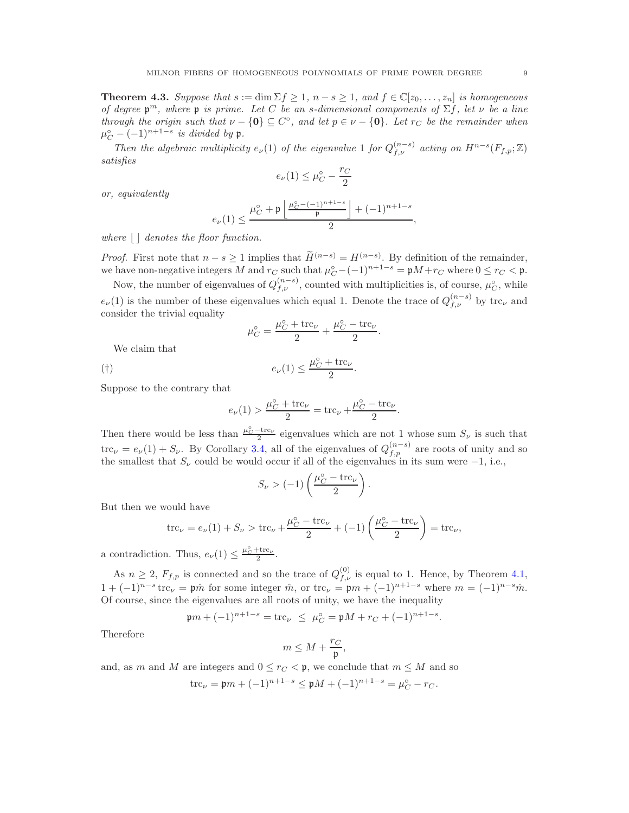**Theorem 4.3.** Suppose that  $s := \dim \Sigma f \geq 1$ ,  $n - s \geq 1$ , and  $f \in \mathbb{C}[z_0, \ldots, z_n]$  is homogeneous *of degree* p <sup>m</sup>*, where* p *is prime. Let* C *be an* s*-dimensional components of* Σf*, let* ν *be a line through the origin such that*  $\nu - \{0\} \subseteq C^{\circ}$ , and let  $p \in \nu - \{0\}$ . Let  $r_C$  be the remainder when  $\mu_C^{\circ} - (-1)^{n+1-s}$  *is divided by* **p**.

*Then the algebraic multiplicity*  $e_{\nu}(1)$  *of the eigenvalue* 1 *for*  $Q_{f,\nu}^{(n-s)}$  *acting on*  $H^{n-s}(F_{f,p};\mathbb{Z})$ *satisfies*

$$
e_{\nu}(1) \leq \mu_C^{\circ} - \frac{r_C}{2}
$$

*or, equivalently*

$$
e_{\nu}(1)\leq \frac{\mu_C^\circ+\mathfrak{p}\left\lfloor\frac{\mu_C^\circ-(-1)^{n+1-s}}{\mathfrak{p}}\right\rfloor+(-1)^{n+1-s}}{2},
$$

*where*  $\vert \cdot \vert$  *denotes the floor function.* 

*Proof.* First note that  $n - s \ge 1$  implies that  $\widetilde{H}^{(n-s)} = H^{(n-s)}$ . By definition of the remainder, we have non-negative integers M and  $r_C$  such that  $\mu_C^{\circ} - (-1)^{n+1-s} = \mathfrak{p}M + r_C$  where  $0 \leq r_C < \mathfrak{p}$ .

Now, the number of eigenvalues of  $Q_{f,\nu}^{(n-s)}$ , counted with multiplicities is, of course,  $\mu_C^{\circ}$ , while  $e_{\nu}(1)$  is the number of these eigenvalues which equal 1. Denote the trace of  $Q_{f,\nu}^{(n-s)}$  by trc<sub>v</sub> and consider the trivial equality

$$
\mu_C^{\circ} = \frac{\mu_C^{\circ} + \text{trc}_{\nu}}{2} + \frac{\mu_C^{\circ} - \text{trc}_{\nu}}{2}.
$$

We claim that

$$
e_{\nu}(1) \le \frac{\mu_C^{\circ} + \text{trc}_{\nu}}{2}
$$

.

Suppose to the contrary that

$$
e_{\nu}(1) > \frac{\mu_C^{\circ} + \text{trc}_{\nu}}{2} = \text{trc}_{\nu} + \frac{\mu_C^{\circ} - \text{trc}_{\nu}}{2}.
$$

Then there would be less than  $\frac{\mu_C^o - \text{trc}_{\nu}}{2}$  eigenvalues which are not 1 whose sum  $S_{\nu}$  is such that  $\text{trc}_{\nu} = e_{\nu}(1) + S_{\nu}$ . By Corollary [3.4,](#page-5-1) all of the eigenvalues of  $Q_{f,p}^{(n-s)}$  are roots of unity and so the smallest that  $S_{\nu}$  could be would occur if all of the eigenvalues in its sum were  $-1$ , i.e.,

$$
S_{\nu} > (-1) \left( \frac{\mu_C^{\circ} - \text{trc}_{\nu}}{2} \right).
$$

But then we would have

$$
\text{trc}_{\nu} = e_{\nu}(1) + S_{\nu} > \text{trc}_{\nu} + \frac{\mu_C^{\circ} - \text{trc}_{\nu}}{2} + (-1) \left( \frac{\mu_C^{\circ} - \text{trc}_{\nu}}{2} \right) = \text{trc}_{\nu},
$$

a contradiction. Thus,  $e_{\nu}(1) \leq \frac{\mu_C^{\circ} + \text{trc}_{\nu}}{2}$ .

As  $n \geq 2$ ,  $F_{f,p}$  is connected and so the trace of  $Q_{f,\nu}^{(0)}$  is equal to 1. Hence, by Theorem [4.1,](#page-7-0)  $1 + (-1)^{n-s}$  trc<sub>v</sub> = p $\hat{m}$  for some integer  $\hat{m}$ , or trc<sub>v</sub> = p $m + (-1)^{n+1-s}$  where  $m = (-1)^{n-s} \hat{m}$ . Of course, since the eigenvalues are all roots of unity, we have the inequality

$$
\mathfrak{p}m + (-1)^{n+1-s} = \text{trc}_{\nu} \leq \mu_C^{\circ} = \mathfrak{p}M + r_C + (-1)^{n+1-s}.
$$

Therefore

$$
m\leq M+\frac{r_C}{\mathfrak{p}},
$$

and, as m and M are integers and  $0 \leq r_C < \mathfrak{p}$ , we conclude that  $m \leq M$  and so

$$
\operatorname{trc}_{\nu} = \mathfrak{p}m + (-1)^{n+1-s} \le \mathfrak{p}M + (-1)^{n+1-s} = \mu_C^{\circ} - r_C.
$$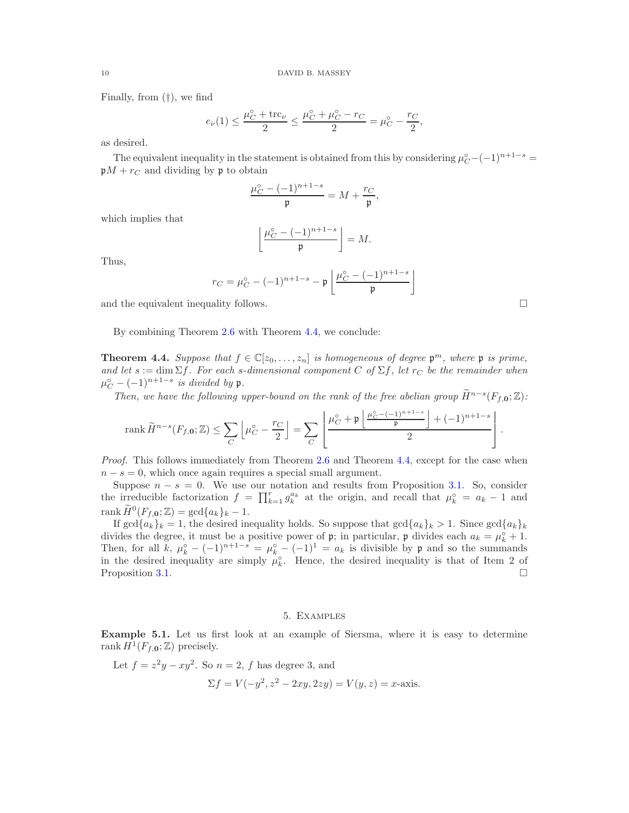Finally, from (†), we find

$$
e_{\nu}(1) \le \frac{\mu_C^{\circ} + \text{trc}_{\nu}}{2} \le \frac{\mu_C^{\circ} + \mu_C^{\circ} - r_C}{2} = \mu_C^{\circ} - \frac{r_C}{2},
$$

as desired.

The equivalent inequality in the statement is obtained from this by considering  $\mu_C^{\circ} - (-1)^{n+1-s} =$  $\mathfrak{p}M + r_C$  and dividing by **p** to obtain

$$
\frac{\mu_C^{\circ} - (-1)^{n+1-s}}{\mathfrak{p}} = M + \frac{r_C}{\mathfrak{p}},
$$

which implies that

$$
\left\lfloor \frac{\mu_C^{\circ} - (-1)^{n+1-s}}{\mathfrak{p}} \right\rfloor = M.
$$

Thus,

$$
r_C = \mu_C^{\circ} - (-1)^{n+1-s} - \mathfrak{p}\left\lfloor \frac{\mu_C^{\circ} - (-1)^{n+1-s}}{\mathfrak{p}} \right\rfloor
$$

and the equivalent inequality follows.  $\Box$ 

By combining Theorem [2.6](#page-3-0) with Theorem [4.4,](#page-9-0) we conclude:

<span id="page-9-0"></span>**Theorem 4.4.** Suppose that  $f \in \mathbb{C}[z_0, \ldots, z_n]$  is homogeneous of degree  $\mathfrak{p}^m$ , where  $\mathfrak{p}$  is prime, *and let*  $s := \dim \Sigma f$ *. For each s-dimensional component* C of  $\Sigma f$ *, let*  $r_C$  *be the remainder when*  $\mu_C^{\circ} - (-1)^{n+1-s}$  *is divided by* **p**.

*Then, we have the following upper-bound on the rank of the free abelian group*  $\widetilde{H}^{n-s}(F_{f,0}; \mathbb{Z})$ :

$$
\mathop{\rm rank}\nolimits \widetilde{H}^{n-s}(F_{f,{\bf 0}};\mathbb{Z})\leq \sum_{C}\left\lfloor\mu_{C}^\circ-\frac{r_C}{2}\right\rfloor=\sum_{C}\left\lfloor\frac{\mu_{C}^\circ+\mathfrak{p}\left\lfloor\frac{\mu_{C}^\circ-(-1)^{n+1-s}}{\mathfrak{p}}\right\rfloor+(-1)^{n+1-s}}{2}\right\rfloor.
$$

*Proof.* This follows immediately from Theorem [2.6](#page-3-0) and Theorem [4.4,](#page-9-0) except for the case when  $n - s = 0$ , which once again requires a special small argument.

Suppose  $n - s = 0$ . We use our notation and results from Proposition [3.1.](#page-3-1) So, consider the irreducible factorization  $f = \prod_{k=1}^r g_k^{a_k}$  at the origin, and recall that  $\mu_k^{\circ} = a_k - 1$  and rank  $\widetilde{H}^0(F_{f,0};\mathbb{Z}) = \gcd\{a_k\}_k - 1.$ 

If  $\gcd\{a_k\}_k = 1$ , the desired inequality holds. So suppose that  $\gcd\{a_k\}_k > 1$ . Since  $\gcd\{a_k\}_k$ divides the degree, it must be a positive power of  $\mathfrak{p}$ ; in particular,  $\mathfrak{p}$  divides each  $a_k = \mu_k^{\circ} + 1$ . Then, for all k,  $\mu_k^{\circ} - (-1)^{n+1-s} = \mu_k^{\circ} - (-1)^1 = a_k$  is divisible by p and so the summands in the desired inequality are simply  $\mu_k^{\circ}$ . Hence, the desired inequality is that of Item 2 of Proposition [3.1.](#page-3-1)

# 5. Examples

Example 5.1. Let us first look at an example of Siersma, where it is easy to determine rank  $H^1(F_{f,0};\mathbb{Z})$  precisely.

Let  $f = z^2y - xy^2$ . So  $n = 2$ , f has degree 3, and

$$
\Sigma f = V(-y^2, z^2 - 2xy, 2zy) = V(y, z) = x
$$
-axis.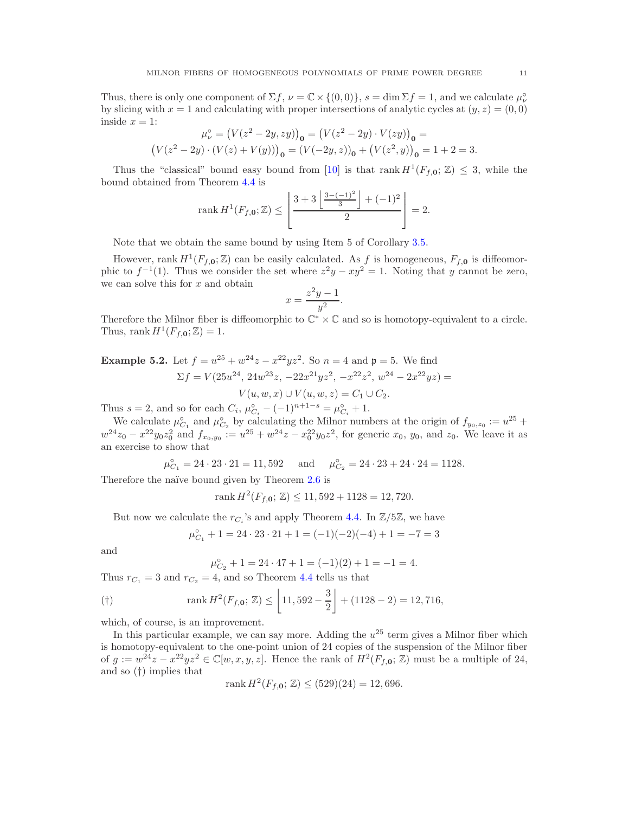Thus, there is only one component of  $\Sigma f$ ,  $\nu = \mathbb{C} \times \{(0,0)\}\$ ,  $s = \dim \Sigma f = 1$ , and we calculate  $\mu_{\nu}^{\circ}$ by slicing with  $x = 1$  and calculating with proper intersections of analytic cycles at  $(y, z) = (0, 0)$ inside  $x = 1$ :

$$
\mu_{\nu}^{\circ} = (V(z^2 - 2y, zy))_{\mathbf{0}} = (V(z^2 - 2y) \cdot V(zy))_{\mathbf{0}} =
$$
  

$$
(V(z^2 - 2y) \cdot (V(z) + V(y)))_{\mathbf{0}} = (V(-2y, z))_{\mathbf{0}} + (V(z^2, y))_{\mathbf{0}} = 1 + 2 = 3.
$$

Thus the "classical" bound easy bound from [\[10\]](#page-11-0) is that rank  $H^1(F_{f,0};\mathbb{Z}) \leq 3$ , while the bound obtained from Theorem [4.4](#page-9-0) is

rank 
$$
H^1(F_{f,0}; \mathbb{Z}) \le \left[ \frac{3 + 3 \left[ \frac{3 - (-1)^2}{3} \right] + (-1)^2}{2} \right] = 2.
$$

Note that we obtain the same bound by using Item 5 of Corollary [3.5.](#page-5-0)

However, rank  $H^1(F_{f,0};\mathbb{Z})$  can be easily calculated. As f is homogeneous,  $F_{f,0}$  is diffeomorphic to  $f^{-1}(1)$ . Thus we consider the set where  $z^2y - xy^2 = 1$ . Noting that y cannot be zero, we can solve this for  $x$  and obtain

$$
x = \frac{z^2y - 1}{y^2}.
$$

Therefore the Milnor fiber is diffeomorphic to  $\mathbb{C}^* \times \mathbb{C}$  and so is homotopy-equivalent to a circle. Thus, rank  $H^1(F_f, \mathbf{o}; \mathbb{Z}) = 1$ .

**Example 5.2.** Let 
$$
f = u^{25} + w^{24}z - x^{22}yz^2
$$
. So  $n = 4$  and  $\mathfrak{p} = 5$ . We find  
\n
$$
\Sigma f = V(25u^{24}, 24w^{23}z, -22x^{21}yz^2, -x^{22}z^2, w^{24} - 2x^{22}yz) =
$$
\n
$$
V(u, w, x) \cup V(u, w, z) = C_1 \cup C_2.
$$

Thus  $s = 2$ , and so for each  $C_i$ ,  $\mu_{C_i}^{\circ} - (-1)^{n+1-s} = \mu_{C_i}^{\circ} + 1$ .

We calculate  $\mu_{C_1}^{\circ}$  and  $\mu_{C_2}^{\circ}$  by calculating the Milnor numbers at the origin of  $f_{y_0,z_0} := u^{25} +$  $w^{24}z_0 - x^{22}y_0z_0^2$  and  $f_{x_0,y_0} := u^{25} + w^{24}z - x_0^{22}y_0z^2$ , for generic  $x_0, y_0$ , and  $z_0$ . We leave it as an exercise to show that

$$
\mu_{C_1}^{\circ} = 24 \cdot 23 \cdot 21 = 11,592
$$
 and  $\mu_{C_2}^{\circ} = 24 \cdot 23 + 24 \cdot 24 = 1128.$ 

Therefore the naïve bound given by Theorem [2.6](#page-3-0) is

rank  $H^2(F_{f,0};\mathbb{Z}) \le 11,592 + 1128 = 12,720.$ 

But now we calculate the  $r_{C_i}$ 's and apply Theorem [4.4.](#page-9-0) In  $\mathbb{Z}/5\mathbb{Z}$ , we have

$$
\mu_{C_1}^{\circ} + 1 = 24 \cdot 23 \cdot 21 + 1 = (-1)(-2)(-4) + 1 = -7 = 3
$$

and

$$
\mu_{C_2}^{\circ} + 1 = 24 \cdot 47 + 1 = (-1)(2) + 1 = -1 = 4.
$$

Thus  $r_{C_1} = 3$  and  $r_{C_2} = 4$ , and so Theorem [4.4](#page-9-0) tells us that

$$
\text{(†)} \qquad \text{rank } H^2(F_{f,0};\,\mathbb{Z}) \le \left\lfloor 11,592 - \frac{3}{2} \right\rfloor + (1128 - 2) = 12,716,
$$

which, of course, is an improvement.

In this particular example, we can say more. Adding the  $u^{25}$  term gives a Milnor fiber which is homotopy-equivalent to the one-point union of 24 copies of the suspension of the Milnor fiber of  $g := w^{24}z - x^{22}yz^2 \in \mathbb{C}[w, x, y, z]$ . Hence the rank of  $H^2(F_{f,0}; \mathbb{Z})$  must be a multiple of 24, and so (†) implies that

$$
rank H^2(F_{f,0};\mathbb{Z}) \le (529)(24) = 12,696.
$$